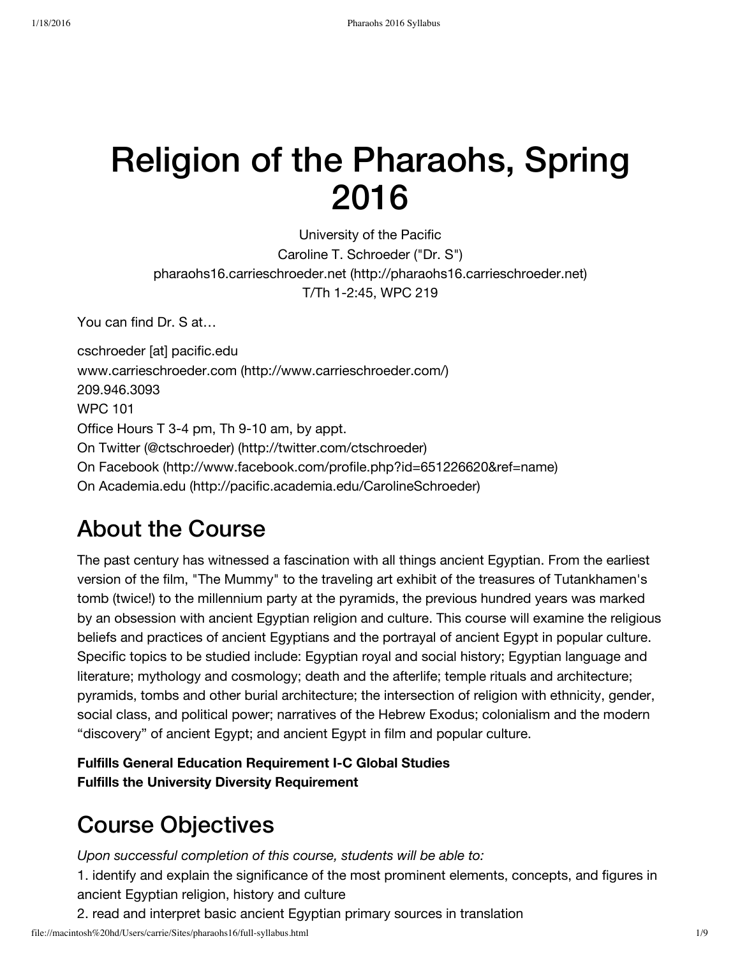# Religion of the Pharaohs, Spring 2016

University of the Pacific Caroline T. Schroeder ("Dr. S") pharaohs16.carrieschroeder.net [\(http://pharaohs16.carrieschroeder.net\)](http://pharaohs16.carrieschroeder.net/) T/Th 1-2:45, WPC 219

You can find Dr. S at…

cschroeder [at] pacific.edu www.carrieschroeder.com [\(http://www.carrieschroeder.com/\)](http://www.carrieschroeder.com/) 209.946.3093 WPC 101 Office Hours T 3-4 pm, Th 9-10 am, by appt. On Twitter (@ctschroeder) [\(http://twitter.com/ctschroeder\)](http://twitter.com/ctschroeder) On Facebook [\(http://www.facebook.com/profile.php?id=651226620&ref=name\)](http://www.facebook.com/profile.php?id=651226620&ref=name) On Academia.edu [\(http://pacific.academia.edu/CarolineSchroeder\)](http://pacific.academia.edu/CarolineSchroeder)

### About the Course

The past century has witnessed a fascination with all things ancient Egyptian. From the earliest version of the film, "The Mummy" to the traveling art exhibit of the treasures of Tutankhamen's tomb (twice!) to the millennium party at the pyramids, the previous hundred years was marked by an obsession with ancient Egyptian religion and culture. This course will examine the religious beliefs and practices of ancient Egyptians and the portrayal of ancient Egypt in popular culture. Specific topics to be studied include: Egyptian royal and social history; Egyptian language and literature; mythology and cosmology; death and the afterlife; temple rituals and architecture; pyramids, tombs and other burial architecture; the intersection of religion with ethnicity, gender, social class, and political power; narratives of the Hebrew Exodus; colonialism and the modern "discovery" of ancient Egypt; and ancient Egypt in film and popular culture.

**Fulfills General Education Requirement I-C Global Studies Fulfills the University Diversity Requirement**

### Course Objectives

*Upon successful completion of this course, students will be able to:*

1. identify and explain the significance of the most prominent elements, concepts, and figures in ancient Egyptian religion, history and culture

2. read and interpret basic ancient Egyptian primary sources in translation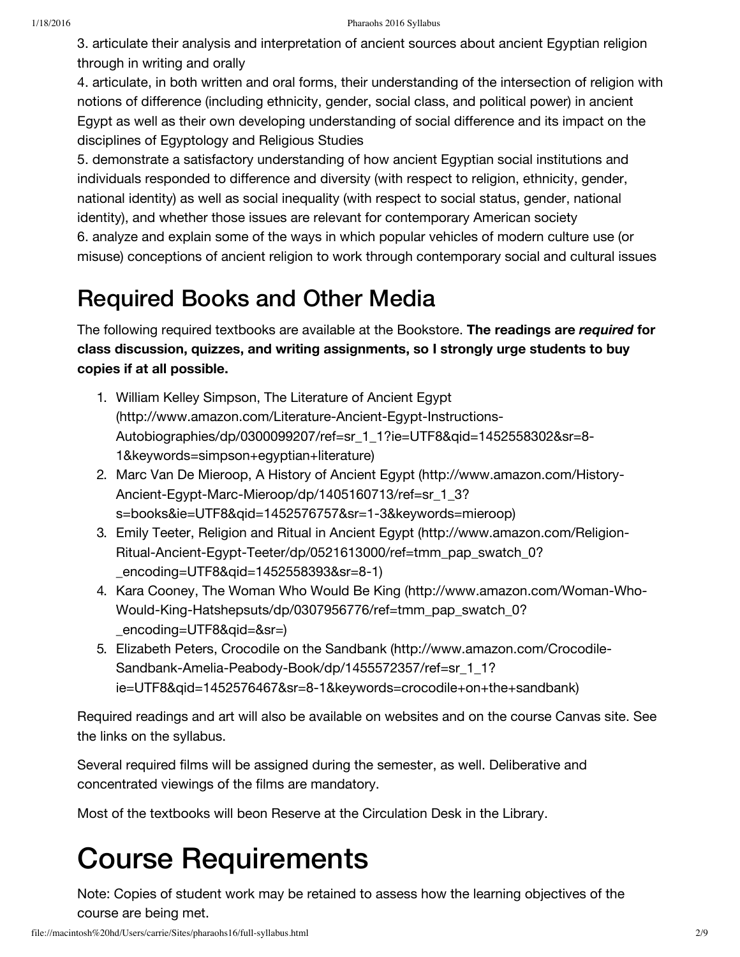3. articulate their analysis and interpretation of ancient sources about ancient Egyptian religion through in writing and orally

4. articulate, in both written and oral forms, their understanding of the intersection of religion with notions of difference (including ethnicity, gender, social class, and political power) in ancient Egypt as well as their own developing understanding of social difference and its impact on the disciplines of Egyptology and Religious Studies

5. demonstrate a satisfactory understanding of how ancient Egyptian social institutions and individuals responded to difference and diversity (with respect to religion, ethnicity, gender, national identity) as well as social inequality (with respect to social status, gender, national identity), and whether those issues are relevant for contemporary American society

6. analyze and explain some of the ways in which popular vehicles of modern culture use (or misuse) conceptions of ancient religion to work through contemporary social and cultural issues

### Required Books and Other Media

The following required textbooks are available at the Bookstore. **The readings are** *required* **for class discussion, quizzes, and writing assignments, so I strongly urge students to buy copies if at all possible.**

- 1. William Kelley Simpson, The Literature of Ancient Egypt (http://www.amazon.com/Literature-Ancient-Egypt-Instructions-[Autobiographies/dp/0300099207/ref=sr\\_1\\_1?ie=UTF8&qid=1452558302&sr=8-](http://www.amazon.com/Literature-Ancient-Egypt-Instructions-Autobiographies/dp/0300099207/ref=sr_1_1?ie=UTF8&qid=1452558302&sr=8-1&keywords=simpson+egyptian+literature) 1&keywords=simpson+egyptian+literature)
- 2. Marc Van De Mieroop, A History of Ancient Egypt (http://www.amazon.com/History-Ancient-Egypt-Marc-Mieroop/dp/1405160713/ref=sr\_1\_3? [s=books&ie=UTF8&qid=1452576757&sr=1-3&keywords=mieroop\)](http://www.amazon.com/History-Ancient-Egypt-Marc-Mieroop/dp/1405160713/ref=sr_1_3?s=books&ie=UTF8&qid=1452576757&sr=1-3&keywords=mieroop)
- 3. Emily Teeter, Religion and Ritual in Ancient Egypt (http://www.amazon.com/Religion-[Ritual-Ancient-Egypt-Teeter/dp/0521613000/ref=tmm\\_pap\\_swatch\\_0?](http://www.amazon.com/Religion-Ritual-Ancient-Egypt-Teeter/dp/0521613000/ref=tmm_pap_swatch_0?_encoding=UTF8&qid=1452558393&sr=8-1) \_encoding=UTF8&qid=1452558393&sr=8-1)
- 4. Kara Cooney, The Woman Who Would Be King (http://www.amazon.com/Woman-Who-[Would-King-Hatshepsuts/dp/0307956776/ref=tmm\\_pap\\_swatch\\_0?](http://www.amazon.com/Woman-Who-Would-King-Hatshepsuts/dp/0307956776/ref=tmm_pap_swatch_0?_encoding=UTF8&qid=&sr=) \_encoding=UTF8&qid=&sr=)
- 5. Elizabeth Peters, Crocodile on the Sandbank (http://www.amazon.com/Crocodile-Sandbank-Amelia-Peabody-Book/dp/1455572357/ref=sr\_1\_1? [ie=UTF8&qid=1452576467&sr=8-1&keywords=crocodile+on+the+sandbank\)](http://www.amazon.com/Crocodile-Sandbank-Amelia-Peabody-Book/dp/1455572357/ref=sr_1_1?ie=UTF8&qid=1452576467&sr=8-1&keywords=crocodile+on+the+sandbank)

Required readings and art will also be available on websites and on the course Canvas site. See the links on the syllabus.

Several required films will be assigned during the semester, as well. Deliberative and concentrated viewings of the films are mandatory.

Most of the textbooks will beon Reserve at the Circulation Desk in the Library.

### Course Requirements

Note: Copies of student work may be retained to assess how the learning objectives of the course are being met.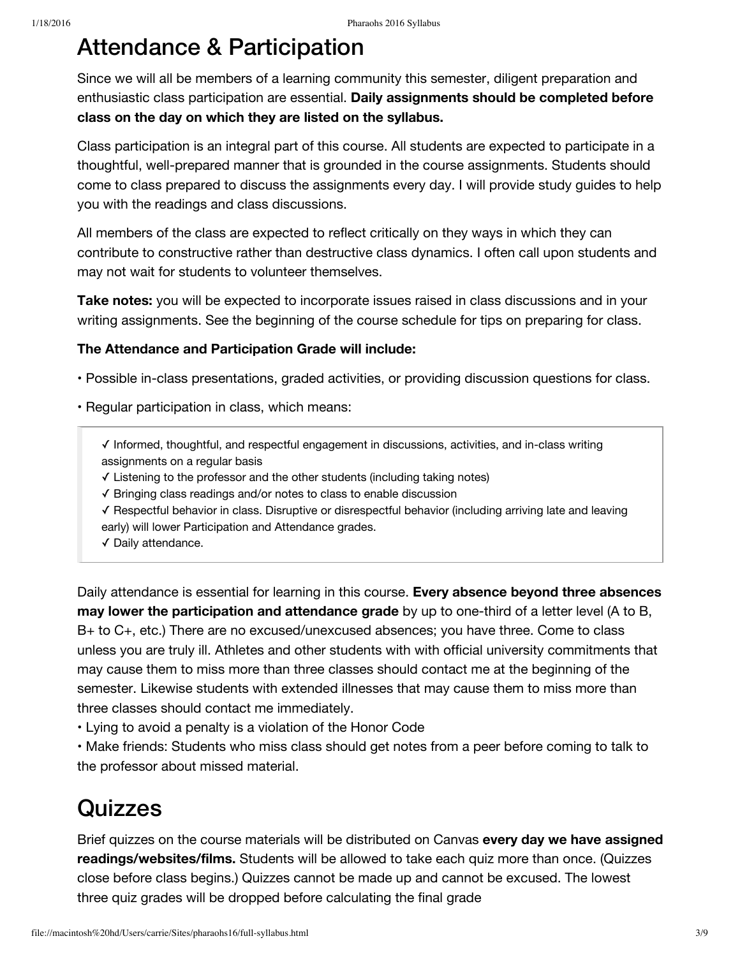#### Attendance & Participation

Since we will all be members of a learning community this semester, diligent preparation and enthusiastic class participation are essential. **Daily assignments should be completed before class on the day on which they are listed on the syllabus.**

Class participation is an integral part of this course. All students are expected to participate in a thoughtful, well-prepared manner that is grounded in the course assignments. Students should come to class prepared to discuss the assignments every day. I will provide study guides to help you with the readings and class discussions.

All members of the class are expected to reflect critically on they ways in which they can contribute to constructive rather than destructive class dynamics. I often call upon students and may not wait for students to volunteer themselves.

**Take notes:** you will be expected to incorporate issues raised in class discussions and in your writing assignments. See the beginning of the course schedule for tips on preparing for class.

#### **The Attendance and Participation Grade will include:**

- Possible in-class presentations, graded activities, or providing discussion questions for class.
- Regular participation in class, which means:

✓ Informed, thoughtful, and respectful engagement in discussions, activities, and in-class writing assignments on a regular basis

- ✓ Listening to the professor and the other students (including taking notes)
- ✓ Bringing class readings and/or notes to class to enable discussion
- ✓ Respectful behavior in class. Disruptive or disrespectful behavior (including arriving late and leaving early) will lower Participation and Attendance grades.
- ✓ Daily attendance.

Daily attendance is essential for learning in this course. **Every absence beyond three absences may lower the participation and attendance grade** by up to one-third of a letter level (A to B, B+ to C+, etc.) There are no excused/unexcused absences; you have three. Come to class unless you are truly ill. Athletes and other students with with official university commitments that may cause them to miss more than three classes should contact me at the beginning of the semester. Likewise students with extended illnesses that may cause them to miss more than three classes should contact me immediately.

• Lying to avoid a penalty is a violation of the Honor Code

• Make friends: Students who miss class should get notes from a peer before coming to talk to the professor about missed material.

#### **Quizzes**

Brief quizzes on the course materials will be distributed on Canvas **every day we have assigned readings/websites/films.** Students will be allowed to take each quiz more than once. (Quizzes close before class begins.) Quizzes cannot be made up and cannot be excused. The lowest three quiz grades will be dropped before calculating the final grade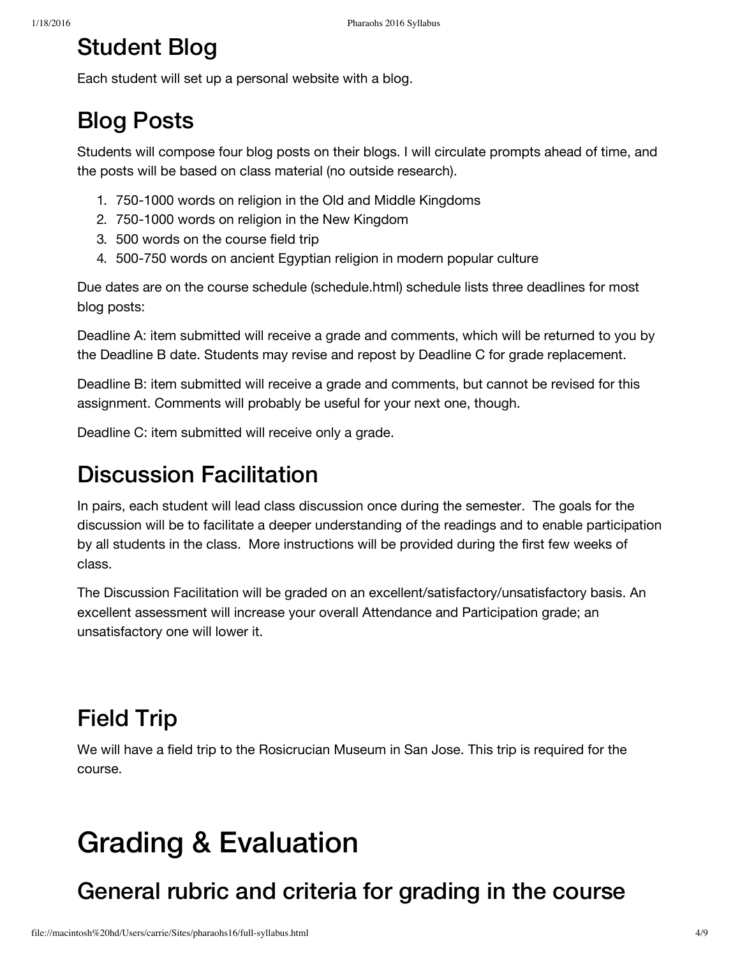### Student Blog

Each student will set up a personal website with a blog.

### Blog Posts

Students will compose four blog posts on their blogs. I will circulate prompts ahead of time, and the posts will be based on class material (no outside research).

- 1. 750-1000 words on religion in the Old and Middle Kingdoms
- 2. 750-1000 words on religion in the New Kingdom
- 3. 500 words on the course field trip
- 4. 500-750 words on ancient Egyptian religion in modern popular culture

Due dates are on the course schedule [\(schedule.html\)](file://macintosh%20hd/Users/carrie/Sites/pharaohs16/schedule.html) schedule lists three deadlines for most blog posts:

Deadline A: item submitted will receive a grade and comments, which will be returned to you by the Deadline B date. Students may revise and repost by Deadline C for grade replacement.

Deadline B: item submitted will receive a grade and comments, but cannot be revised for this assignment. Comments will probably be useful for your next one, though.

Deadline C: item submitted will receive only a grade.

### Discussion Facilitation

In pairs, each student will lead class discussion once during the semester. The goals for the discussion will be to facilitate a deeper understanding of the readings and to enable participation by all students in the class. More instructions will be provided during the first few weeks of class.

The Discussion Facilitation will be graded on an excellent/satisfactory/unsatisfactory basis. An excellent assessment will increase your overall Attendance and Participation grade; an unsatisfactory one will lower it.

### Field Trip

We will have a field trip to the Rosicrucian Museum in San Jose. This trip is required for the course.

### Grading & Evaluation

### General rubric and criteria for grading in the course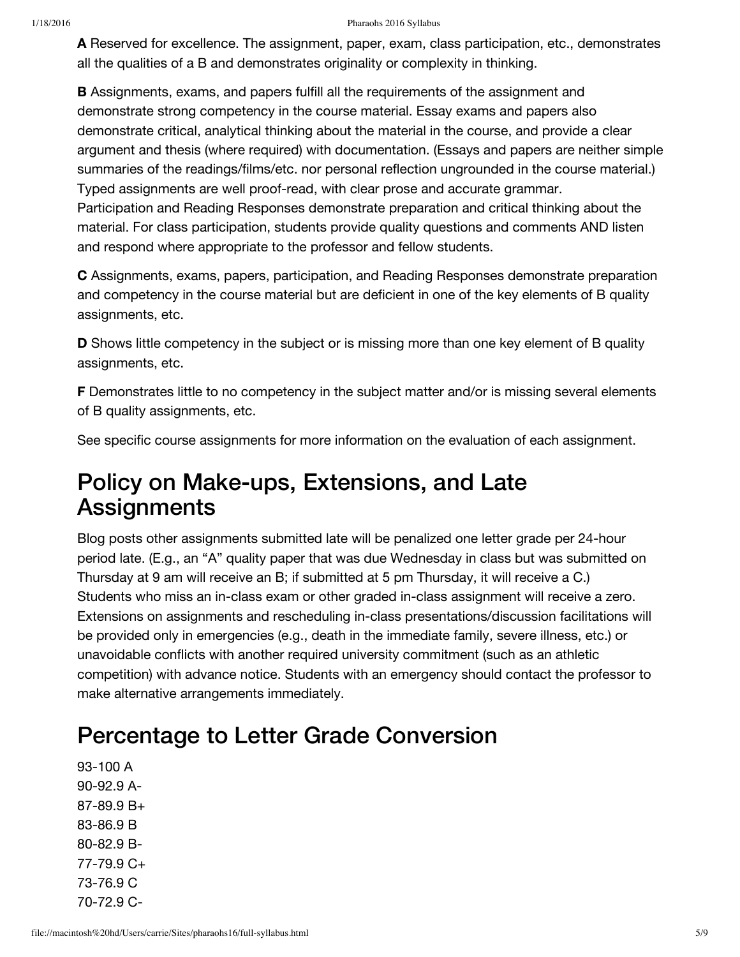**A** Reserved for excellence. The assignment, paper, exam, class participation, etc., demonstrates all the qualities of a B and demonstrates originality or complexity in thinking.

**B** Assignments, exams, and papers fulfill all the requirements of the assignment and demonstrate strong competency in the course material. Essay exams and papers also demonstrate critical, analytical thinking about the material in the course, and provide a clear argument and thesis (where required) with documentation. (Essays and papers are neither simple summaries of the readings/films/etc. nor personal reflection ungrounded in the course material.) Typed assignments are well proof-read, with clear prose and accurate grammar. Participation and Reading Responses demonstrate preparation and critical thinking about the material. For class participation, students provide quality questions and comments AND listen and respond where appropriate to the professor and fellow students.

**C** Assignments, exams, papers, participation, and Reading Responses demonstrate preparation and competency in the course material but are deficient in one of the key elements of B quality assignments, etc.

**D** Shows little competency in the subject or is missing more than one key element of B quality assignments, etc.

**F** Demonstrates little to no competency in the subject matter and/or is missing several elements of B quality assignments, etc.

See specific course assignments for more information on the evaluation of each assignment.

#### Policy on Make-ups, Extensions, and Late **Assignments**

Blog posts other assignments submitted late will be penalized one letter grade per 24-hour period late. (E.g., an "A" quality paper that was due Wednesday in class but was submitted on Thursday at 9 am will receive an B; if submitted at 5 pm Thursday, it will receive a C.) Students who miss an in-class exam or other graded in-class assignment will receive a zero. Extensions on assignments and rescheduling in-class presentations/discussion facilitations will be provided only in emergencies (e.g., death in the immediate family, severe illness, etc.) or unavoidable conflicts with another required university commitment (such as an athletic competition) with advance notice. Students with an emergency should contact the professor to make alternative arrangements immediately.

### Percentage to Letter Grade Conversion

93-100 A 90-92.9 A-87-89.9 B+ 83-86.9 B 80-82.9 B-77-79.9 C+ 73-76.9 C 70-72.9 C-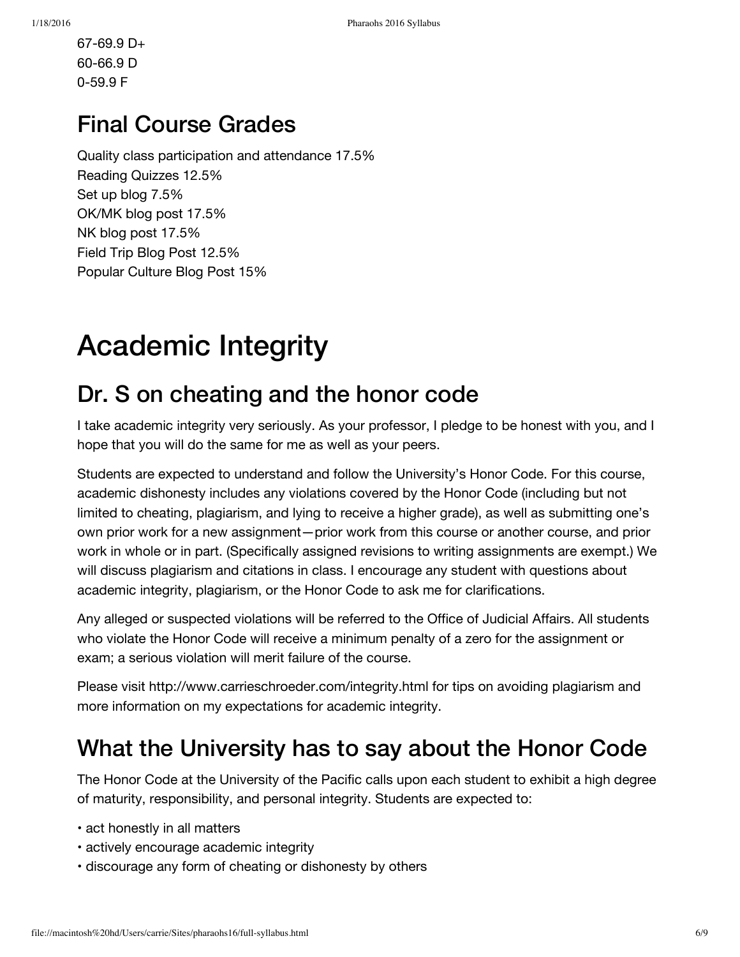67-69.9 D+ 60-66.9 D 0-59.9 F

### Final Course Grades

Quality class participation and attendance 17.5% Reading Quizzes 12.5% Set up blog 7.5% OK/MK blog post 17.5% NK blog post 17.5% Field Trip Blog Post 12.5% Popular Culture Blog Post 15%

## Academic Integrity

### Dr. S on cheating and the honor code

I take academic integrity very seriously. As your professor, I pledge to be honest with you, and I hope that you will do the same for me as well as your peers.

Students are expected to understand and follow the University's Honor Code. For this course, academic dishonesty includes any violations covered by the Honor Code (including but not limited to cheating, plagiarism, and lying to receive a higher grade), as well as submitting one's own prior work for a new assignment—prior work from this course or another course, and prior work in whole or in part. (Specifically assigned revisions to writing assignments are exempt.) We will discuss plagiarism and citations in class. I encourage any student with questions about academic integrity, plagiarism, or the Honor Code to ask me for clarifications.

Any alleged or suspected violations will be referred to the Office of Judicial Affairs. All students who violate the Honor Code will receive a minimum penalty of a zero for the assignment or exam; a serious violation will merit failure of the course.

Please visit http://www.carrieschroeder.com/integrity.html for tips on avoiding plagiarism and more information on my expectations for academic integrity.

### What the University has to say about the Honor Code

The Honor Code at the University of the Pacific calls upon each student to exhibit a high degree of maturity, responsibility, and personal integrity. Students are expected to:

- act honestly in all matters
- actively encourage academic integrity
- discourage any form of cheating or dishonesty by others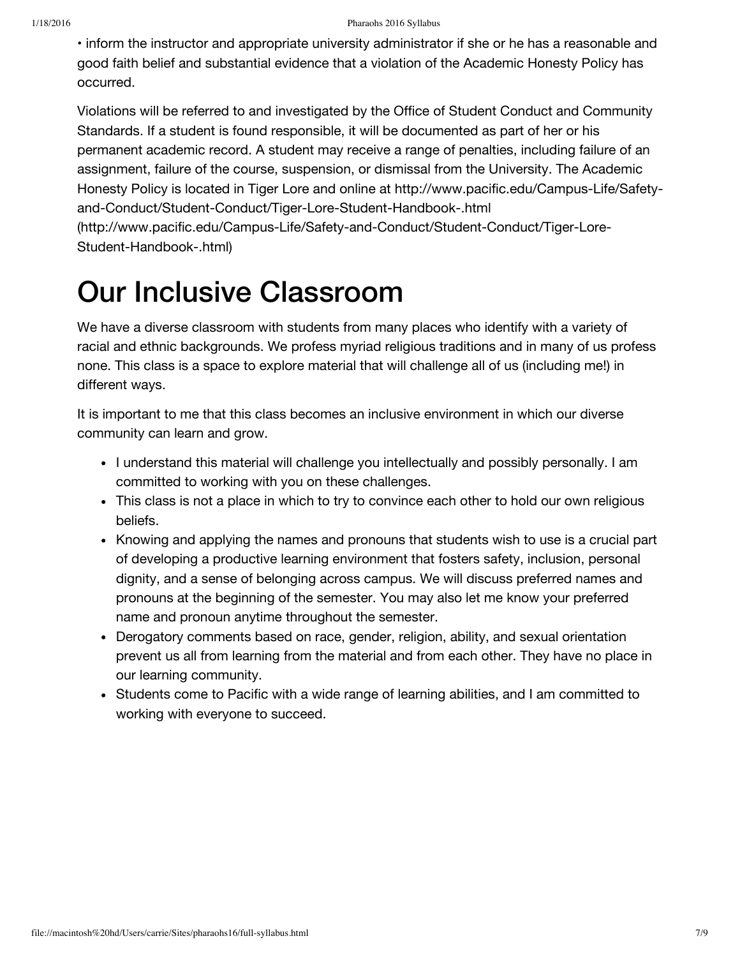• inform the instructor and appropriate university administrator if she or he has a reasonable and good faith belief and substantial evidence that a violation of the Academic Honesty Policy has occurred.

Violations will be referred to and investigated by the Office of Student Conduct and Community Standards. If a student is found responsible, it will be documented as part of her or his permanent academic record. A student may receive a range of penalties, including failure of an assignment, failure of the course, suspension, or dismissal from the University. The Academic Honesty Policy is located in Tiger Lore and online at http://www.pacific.edu/Campus-Life/Safetyand-Conduct/Student-Conduct/Tiger-Lore-Student-Handbook-.html

[\(http://www.pacific.edu/Campus-Life/Safety-and-Conduct/Student-Conduct/Tiger-Lore-](http://www.pacific.edu/Campus-Life/Safety-and-Conduct/Student-Conduct/Tiger-Lore-Student-Handbook-.html)Student-Handbook-.html)

### Our Inclusive Classroom

We have a diverse classroom with students from many places who identify with a variety of racial and ethnic backgrounds. We profess myriad religious traditions and in many of us profess none. This class is a space to explore material that will challenge all of us (including me!) in different ways.

It is important to me that this class becomes an inclusive environment in which our diverse community can learn and grow.

- I understand this material will challenge you intellectually and possibly personally. I am committed to working with you on these challenges.
- This class is not a place in which to try to convince each other to hold our own religious beliefs.
- Knowing and applying the names and pronouns that students wish to use is a crucial part of developing a productive learning environment that fosters safety, inclusion, personal dignity, and a sense of belonging across campus. We will discuss preferred names and pronouns at the beginning of the semester. You may also let me know your preferred name and pronoun anytime throughout the semester.
- Derogatory comments based on race, gender, religion, ability, and sexual orientation prevent us all from learning from the material and from each other. They have no place in our learning community.
- Students come to Pacific with a wide range of learning abilities, and I am committed to working with everyone to succeed.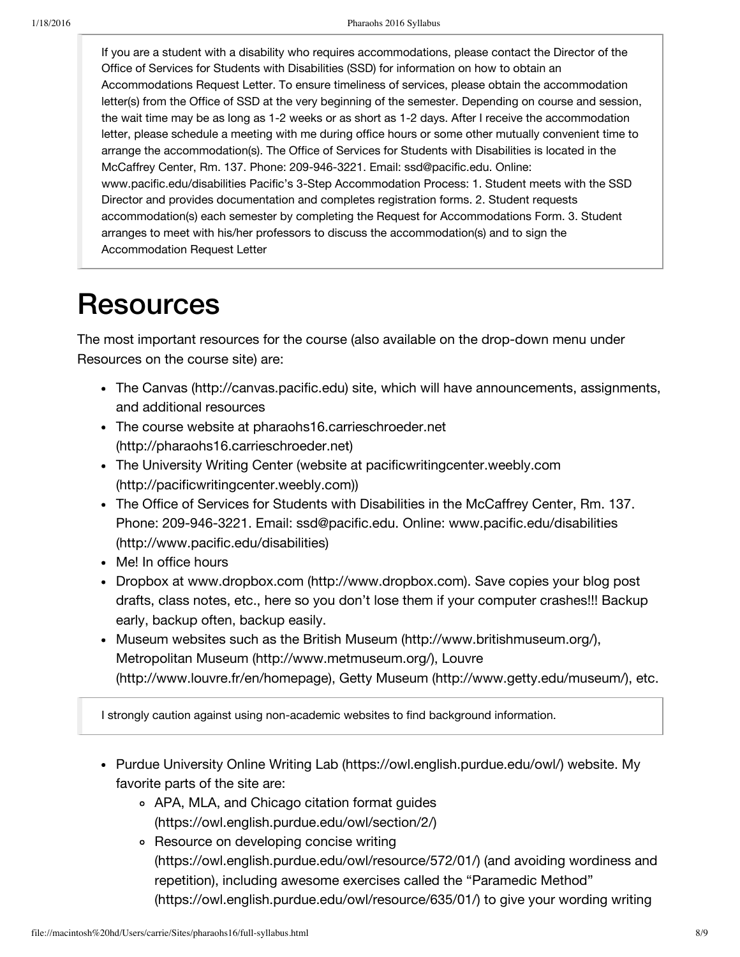If you are a student with a disability who requires accommodations, please contact the Director of the Office of Services for Students with Disabilities (SSD) for information on how to obtain an Accommodations Request Letter. To ensure timeliness of services, please obtain the accommodation letter(s) from the Office of SSD at the very beginning of the semester. Depending on course and session, the wait time may be as long as 1-2 weeks or as short as 1-2 days. After I receive the accommodation letter, please schedule a meeting with me during office hours or some other mutually convenient time to arrange the accommodation(s). The Office of Services for Students with Disabilities is located in the McCaffrey Center, Rm. 137. Phone: 209-946-3221. Email: ssd@pacific.edu. Online: www.pacific.edu/disabilities Pacific's 3-Step Accommodation Process: 1. Student meets with the SSD Director and provides documentation and completes registration forms. 2. Student requests accommodation(s) each semester by completing the Request for Accommodations Form. 3. Student arranges to meet with his/her professors to discuss the accommodation(s) and to sign the Accommodation Request Letter

### **Resources**

The most important resources for the course (also available on the drop-down menu under Resources on the course site) are:

- The Canvas [\(http://canvas.pacific.edu\)](http://canvas.pacific.edu/) site, which will have announcements, assignments, and additional resources
- The course website at pharaohs16.carrieschroeder.net [\(http://pharaohs16.carrieschroeder.net\)](http://pharaohs16.carrieschroeder.net/)
- The University Writing Center (website at pacificwritingcenter.weebly.com [\(http://pacificwritingcenter.weebly.com\)\)](http://pacificwritingcenter.weebly.com/)
- The Office of Services for Students with Disabilities in the McCaffrey Center, Rm. 137. Phone: 209-946-3221. Email: ssd@pacific.edu. Online: www.pacific.edu/disabilities [\(http://www.pacific.edu/disabilities\)](http://www.pacific.edu/disabilities)
- Me! In office hours
- Dropbox at www.dropbox.com [\(http://www.dropbox.com\).](http://www.dropbox.com/) Save copies your blog post drafts, class notes, etc., here so you don't lose them if your computer crashes!!! Backup early, backup often, backup easily.
- Museum websites such as the British Museum [\(http://www.britishmuseum.org/\),](http://www.britishmuseum.org/) Metropolitan Museum [\(http://www.metmuseum.org/\)](http://www.metmuseum.org/), Louvre [\(http://www.louvre.fr/en/homepage\),](http://www.louvre.fr/en/homepage) Getty Museum [\(http://www.getty.edu/museum/\)](http://www.getty.edu/museum/), etc.

I strongly caution against using non-academic websites to find background information.

- Purdue University Online Writing Lab [\(https://owl.english.purdue.edu/owl/\)](https://owl.english.purdue.edu/owl/) website. My favorite parts of the site are:
	- APA, MLA, and Chicago citation format guides [\(https://owl.english.purdue.edu/owl/section/2/\)](https://owl.english.purdue.edu/owl/section/2/)
	- Resource on developing concise writing [\(https://owl.english.purdue.edu/owl/resource/572/01/\)](https://owl.english.purdue.edu/owl/resource/572/01/) (and avoiding wordiness and repetition), including awesome exercises called the "Paramedic Method" [\(https://owl.english.purdue.edu/owl/resource/635/01/\)](https://owl.english.purdue.edu/owl/resource/635/01/) to give your wording writing